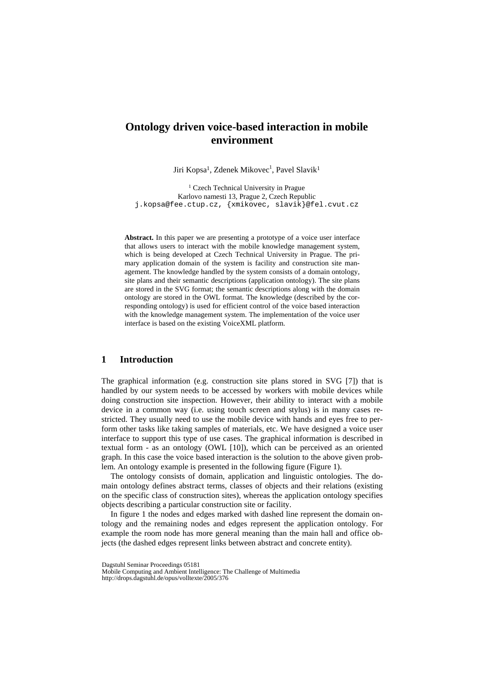# **Ontology driven voice-based interaction in mobile environment**

Jiri Kopsa<sup>1</sup>, Zdenek Mikovec<sup>1</sup>, Pavel Slavik<sup>1</sup>

<sup>1</sup> Czech Technical University in Prague Karlovo namesti 13, Prague 2, Czech Republic j.kopsa@fee.ctup.cz, {xmikovec, slavik}@fel.cvut.cz

**Abstract.** In this paper we are presenting a prototype of a voice user interface that allows users to interact with the mobile knowledge management system, which is being developed at Czech Technical University in Prague. The primary application domain of the system is facility and construction site management. The knowledge handled by the system consists of a domain ontology, site plans and their semantic descriptions (application ontology). The site plans are stored in the SVG format; the semantic descriptions along with the domain ontology are stored in the OWL format. The knowledge (described by the corresponding ontology) is used for efficient control of the voice based interaction with the knowledge management system. The implementation of the voice user interface is based on the existing VoiceXML platform.

## **1 Introduction**

The graphical information (e.g. construction site plans stored in SVG [7]) that is handled by our system needs to be accessed by workers with mobile devices while doing construction site inspection. However, their ability to interact with a mobile device in a common way (i.e. using touch screen and stylus) is in many cases restricted. They usually need to use the mobile device with hands and eyes free to perform other tasks like taking samples of materials, etc. We have designed a voice user interface to support this type of use cases. The graphical information is described in textual form - as an ontology (OWL [10]), which can be perceived as an oriented graph. In this case the voice based interaction is the solution to the above given problem. An ontology example is presented in the following figure (Figure 1).

The ontology consists of domain, application and linguistic ontologies. The domain ontology defines abstract terms, classes of objects and their relations (existing on the specific class of construction sites), whereas the application ontology specifies objects describing a particular construction site or facility.

In figure 1 the nodes and edges marked with dashed line represent the domain ontology and the remaining nodes and edges represent the application ontology. For example the room node has more general meaning than the main hall and office objects (the dashed edges represent links between abstract and concrete entity).

Dagstuhl Seminar Proceedings 05181

Mobile Computing and Ambient Intelligence: The Challenge of Multimedia http://drops.dagstuhl.de/opus/volltexte/2005/376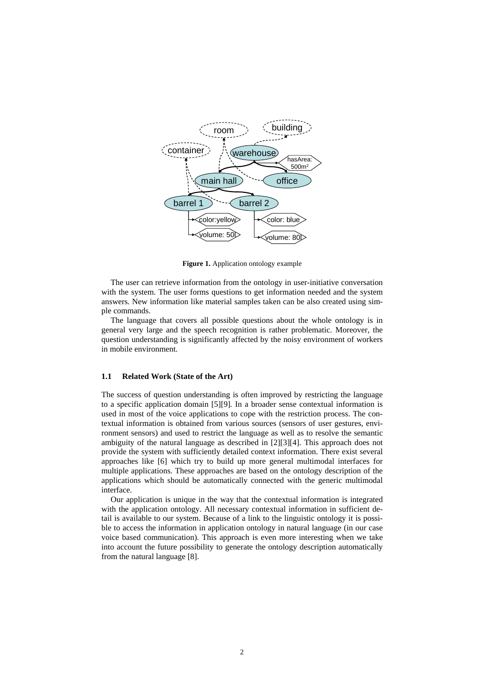

**Figure 1.** Application ontology example

The user can retrieve information from the ontology in user-initiative conversation with the system. The user forms questions to get information needed and the system answers. New information like material samples taken can be also created using simple commands.

The language that covers all possible questions about the whole ontology is in general very large and the speech recognition is rather problematic. Moreover, the question understanding is significantly affected by the noisy environment of workers in mobile environment.

#### **1.1 Related Work (State of the Art)**

The success of question understanding is often improved by restricting the language to a specific application domain [5][9]*.* In a broader sense contextual information is used in most of the voice applications to cope with the restriction process. The contextual information is obtained from various sources (sensors of user gestures, environment sensors) and used to restrict the language as well as to resolve the semantic ambiguity of the natural language as described in [2][3][4]. This approach does not provide the system with sufficiently detailed context information. There exist several approaches like [6] which try to build up more general multimodal interfaces for multiple applications. These approaches are based on the ontology description of the applications which should be automatically connected with the generic multimodal interface.

Our application is unique in the way that the contextual information is integrated with the application ontology. All necessary contextual information in sufficient detail is available to our system. Because of a link to the linguistic ontology it is possible to access the information in application ontology in natural language (in our case voice based communication). This approach is even more interesting when we take into account the future possibility to generate the ontology description automatically from the natural language [8].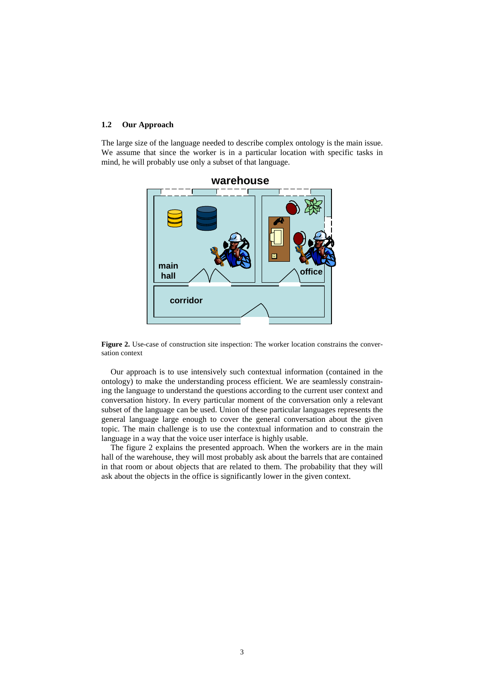#### **1.2 Our Approach**

The large size of the language needed to describe complex ontology is the main issue. We assume that since the worker is in a particular location with specific tasks in mind, he will probably use only a subset of that language.



**Figure 2.** Use-case of construction site inspection: The worker location constrains the conversation context

Our approach is to use intensively such contextual information (contained in the ontology) to make the understanding process efficient. We are seamlessly constraining the language to understand the questions according to the current user context and conversation history. In every particular moment of the conversation only a relevant subset of the language can be used. Union of these particular languages represents the general language large enough to cover the general conversation about the given topic. The main challenge is to use the contextual information and to constrain the language in a way that the voice user interface is highly usable.

The figure 2 explains the presented approach. When the workers are in the main hall of the warehouse, they will most probably ask about the barrels that are contained in that room or about objects that are related to them. The probability that they will ask about the objects in the office is significantly lower in the given context.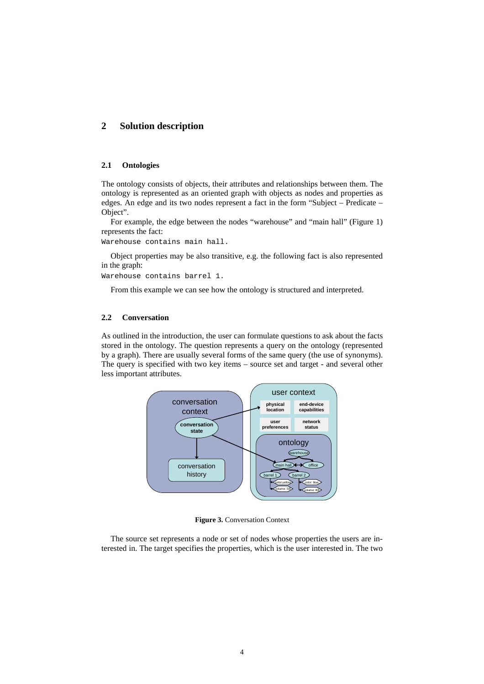## **2 Solution description**

#### **2.1 Ontologies**

The ontology consists of objects, their attributes and relationships between them. The ontology is represented as an oriented graph with objects as nodes and properties as edges. An edge and its two nodes represent a fact in the form "Subject – Predicate – Object".

For example, the edge between the nodes "warehouse" and "main hall" (Figure 1) represents the fact:

Warehouse contains main hall.

Object properties may be also transitive, e.g. the following fact is also represented in the graph:

Warehouse contains barrel 1.

From this example we can see how the ontology is structured and interpreted.

## **2.2 Conversation**

As outlined in the introduction, the user can formulate questions to ask about the facts stored in the ontology. The question represents a query on the ontology (represented by a graph). There are usually several forms of the same query (the use of synonyms). The query is specified with two key items – source set and target - and several other less important attributes.



**Figure 3.** Conversation Context

The source set represents a node or set of nodes whose properties the users are interested in. The target specifies the properties, which is the user interested in. The two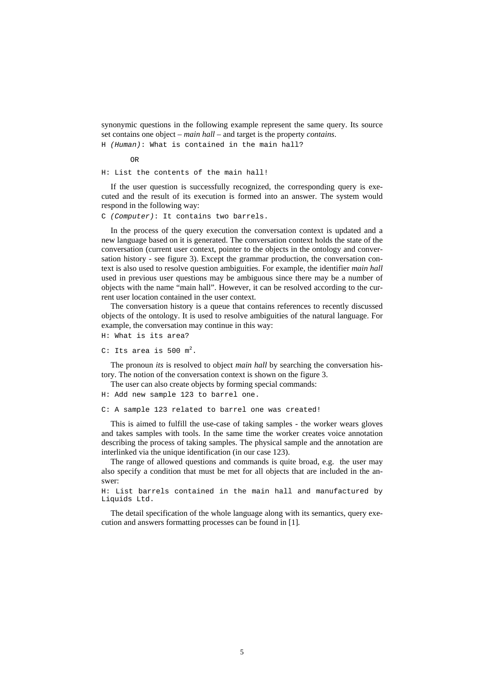synonymic questions in the following example represent the same query. Its source set contains one object – *main hall* – and target is the property *contains*.

```
H (Human): What is contained in the main hall?
```
OR

H: List the contents of the main hall!

If the user question is successfully recognized, the corresponding query is executed and the result of its execution is formed into an answer. The system would respond in the following way:

C *(Computer)*: It contains two barrels.

In the process of the query execution the conversation context is updated and a new language based on it is generated. The conversation context holds the state of the conversation (current user context, pointer to the objects in the ontology and conversation history - see figure 3). Except the grammar production, the conversation context is also used to resolve question ambiguities. For example, the identifier *main hall*  used in previous user questions may be ambiguous since there may be a number of objects with the name "main hall". However, it can be resolved according to the current user location contained in the user context.

The conversation history is a queue that contains references to recently discussed objects of the ontology. It is used to resolve ambiguities of the natural language. For example, the conversation may continue in this way:

```
H: What is its area?
```

```
C: Its area is 500 m^2.
```
The pronoun *its* is resolved to object *main hall* by searching the conversation history. The notion of the conversation context is shown on the figure 3.

The user can also create objects by forming special commands:

H: Add new sample 123 to barrel one.

C: A sample 123 related to barrel one was created!

This is aimed to fulfill the use-case of taking samples - the worker wears gloves and takes samples with tools. In the same time the worker creates voice annotation describing the process of taking samples. The physical sample and the annotation are interlinked via the unique identification (in our case 123).

The range of allowed questions and commands is quite broad, e.g. the user may also specify a condition that must be met for all objects that are included in the answer:

```
H: List barrels contained in the main hall and manufactured by 
Liquids Ltd.
```
The detail specification of the whole language along with its semantics, query execution and answers formatting processes can be found in [1]*.*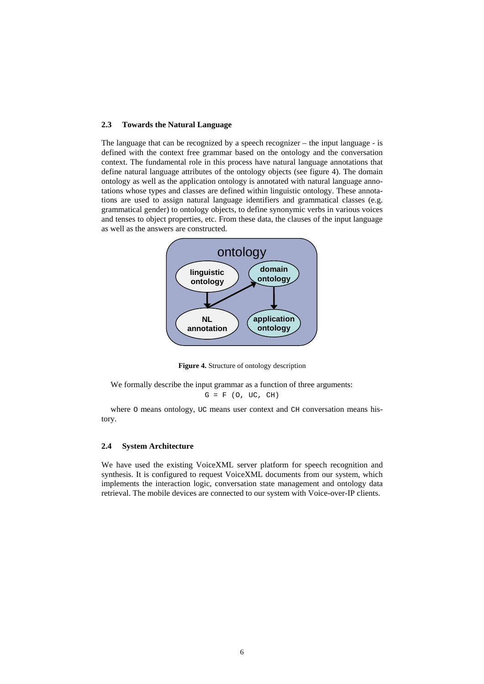#### **2.3 Towards the Natural Language**

The language that can be recognized by a speech recognizer – the input language - is defined with the context free grammar based on the ontology and the conversation context. The fundamental role in this process have natural language annotations that define natural language attributes of the ontology objects (see figure 4). The domain ontology as well as the application ontology is annotated with natural language annotations whose types and classes are defined within linguistic ontology. These annotations are used to assign natural language identifiers and grammatical classes (e.g. grammatical gender) to ontology objects, to define synonymic verbs in various voices and tenses to object properties, etc. From these data, the clauses of the input language as well as the answers are constructed.



**Figure 4.** Structure of ontology description

We formally describe the input grammar as a function of three arguments:

 $G = F (0, UC, CH)$ 

where  $\circ$  means ontology, UC means user context and CH conversation means history.

#### **2.4 System Architecture**

We have used the existing VoiceXML server platform for speech recognition and synthesis. It is configured to request VoiceXML documents from our system, which implements the interaction logic, conversation state management and ontology data retrieval. The mobile devices are connected to our system with Voice-over-IP clients.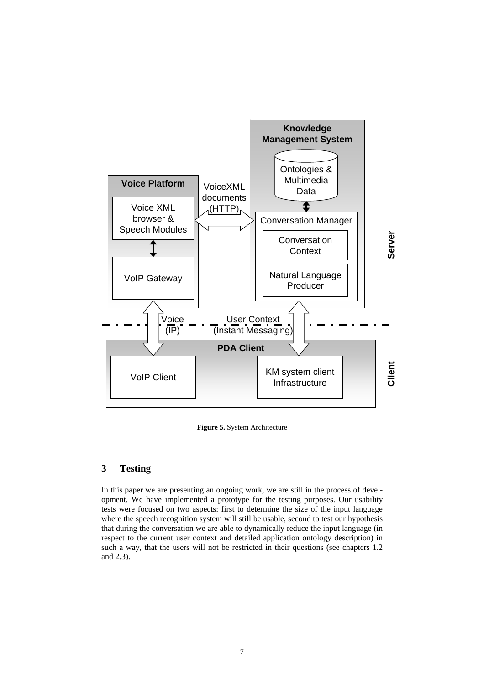

**Figure 5.** System Architecture

## **3 Testing**

In this paper we are presenting an ongoing work, we are still in the process of development. We have implemented a prototype for the testing purposes. Our usability tests were focused on two aspects: first to determine the size of the input language where the speech recognition system will still be usable, second to test our hypothesis that during the conversation we are able to dynamically reduce the input language (in respect to the current user context and detailed application ontology description) in such a way, that the users will not be restricted in their questions (see chapters 1.2 and 2.3).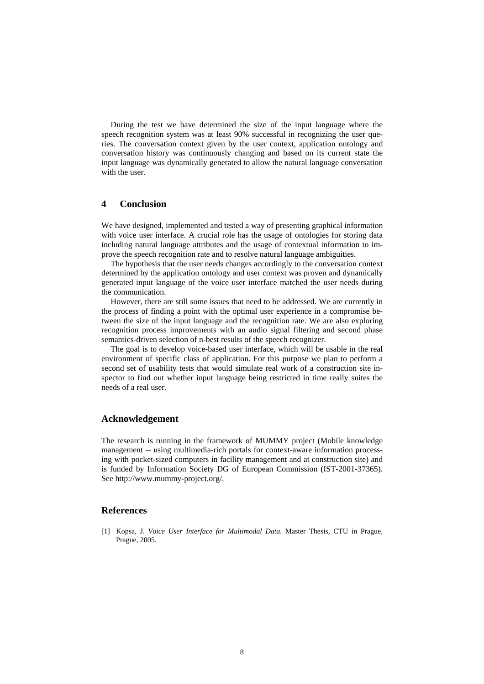During the test we have determined the size of the input language where the speech recognition system was at least 90% successful in recognizing the user queries. The conversation context given by the user context, application ontology and conversation history was continuously changing and based on its current state the input language was dynamically generated to allow the natural language conversation with the user.

## **4 Conclusion**

We have designed, implemented and tested a way of presenting graphical information with voice user interface. A crucial role has the usage of ontologies for storing data including natural language attributes and the usage of contextual information to improve the speech recognition rate and to resolve natural language ambiguities.

The hypothesis that the user needs changes accordingly to the conversation context determined by the application ontology and user context was proven and dynamically generated input language of the voice user interface matched the user needs during the communication.

However, there are still some issues that need to be addressed. We are currently in the process of finding a point with the optimal user experience in a compromise between the size of the input language and the recognition rate. We are also exploring recognition process improvements with an audio signal filtering and second phase semantics-driven selection of n-best results of the speech recognizer.

The goal is to develop voice-based user interface, which will be usable in the real environment of specific class of application. For this purpose we plan to perform a second set of usability tests that would simulate real work of a construction site inspector to find out whether input language being restricted in time really suites the needs of a real user.

#### **Acknowledgement**

The research is running in the framework of MUMMY project (Mobile knowledge management -- using multimedia-rich portals for context-aware information processing with pocket-sized computers in facility management and at construction site) and is funded by Information Society DG of European Commission (IST-2001-37365). See http://www.mummy-project.org/.

### **References**

[1] Kopsa, J. *Voice User Interface for Multimodal Data*. Master Thesis, CTU in Prague, Prague, 2005.